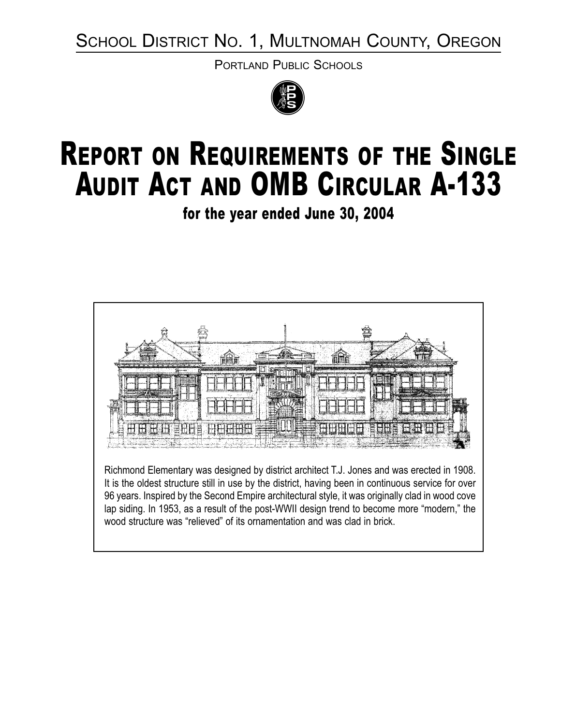SCHOOL DISTRICT NO. 1, MULTNOMAH COUNTY, OREGON

PORTLAND PUBLIC SCHOOLS



# REPORT ON REQUIREMENTS OF THE SINGLE AUDIT ACT AND OMB CIRCULAR A-133

for the year ended June 30, 2004

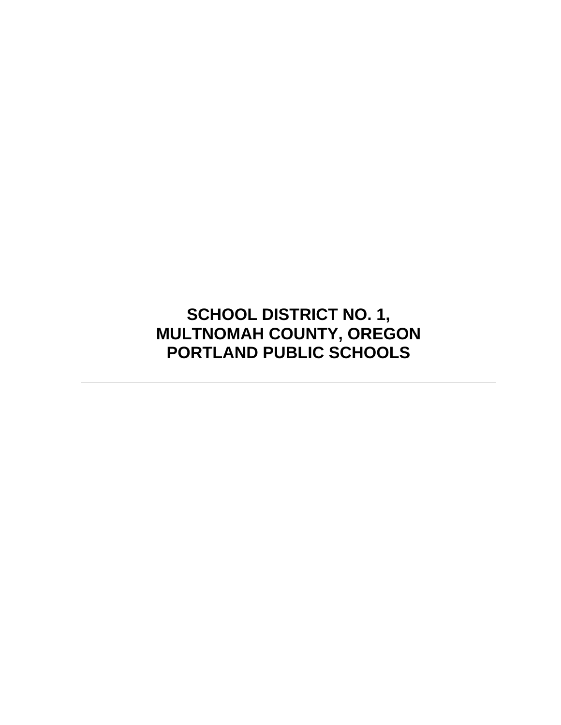**SCHOOL DISTRICT NO. 1, MULTNOMAH COUNTY, OREGON PORTLAND PUBLIC SCHOOLS**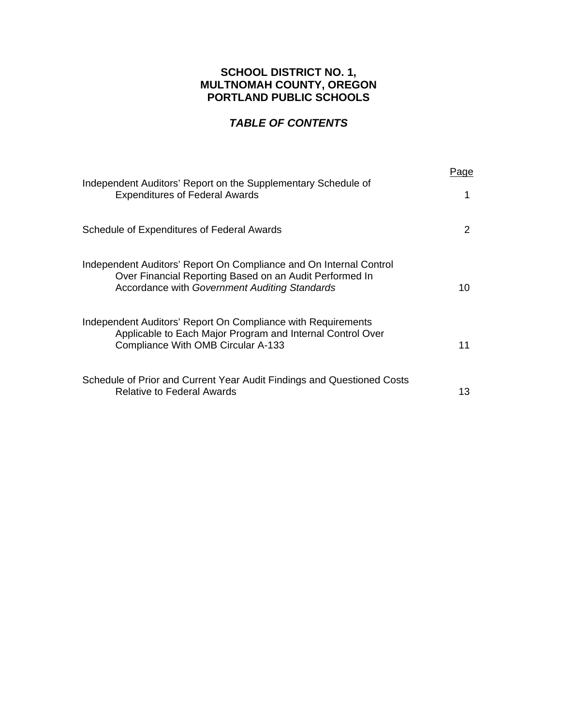## **SCHOOL DISTRICT NO. 1, MULTNOMAH COUNTY, OREGON PORTLAND PUBLIC SCHOOLS**

# *TABLE OF CONTENTS*

| Independent Auditors' Report on the Supplementary Schedule of<br><b>Expenditures of Federal Awards</b>                                                                                | Paɑe<br>1 |
|---------------------------------------------------------------------------------------------------------------------------------------------------------------------------------------|-----------|
| Schedule of Expenditures of Federal Awards                                                                                                                                            | 2         |
| Independent Auditors' Report On Compliance and On Internal Control<br>Over Financial Reporting Based on an Audit Performed In<br><b>Accordance with Government Auditing Standards</b> | 10        |
| Independent Auditors' Report On Compliance with Requirements<br>Applicable to Each Major Program and Internal Control Over<br>Compliance With OMB Circular A-133                      | 11        |
| Schedule of Prior and Current Year Audit Findings and Questioned Costs<br><b>Relative to Federal Awards</b>                                                                           | 13.       |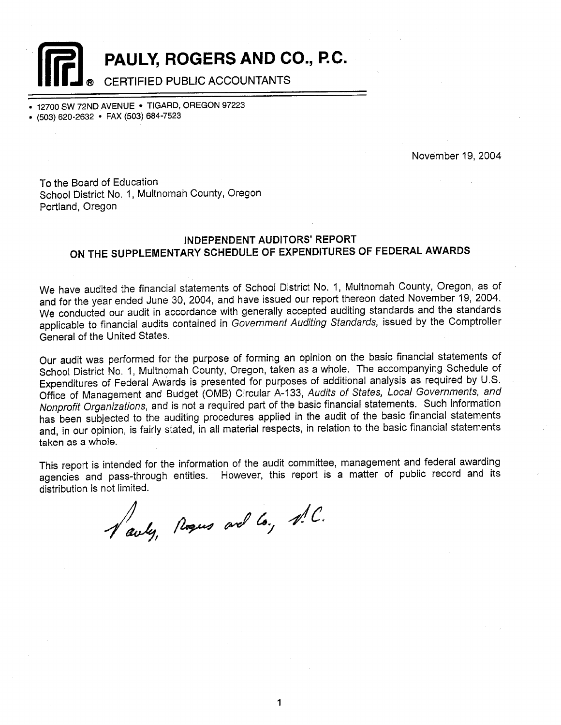

PAULY, ROGERS AND CO., P.C.

## CERTIFIED PUBLIC ACCOUNTANTS

12700 SW 72ND AVENUE . TIGARD, OREGON 97223

• (503) 620-2632 • FAX (503) 684-7523

November 19, 2004

To the Board of Education School District No. 1, Multnomah County, Oregon Portland, Oregon

## **INDEPENDENT AUDITORS' REPORT** ON THE SUPPLEMENTARY SCHEDULE OF EXPENDITURES OF FEDERAL AWARDS

We have audited the financial statements of School District No. 1, Multnomah County, Oregon, as of and for the year ended June 30, 2004, and have issued our report thereon dated November 19, 2004. We conducted our audit in accordance with generally accepted auditing standards and the standards applicable to financial audits contained in Government Auditing Standards, issued by the Comptroller General of the United States.

Our audit was performed for the purpose of forming an opinion on the basic financial statements of School District No. 1, Multnomah County, Oregon, taken as a whole. The accompanying Schedule of Expenditures of Federal Awards is presented for purposes of additional analysis as required by U.S. Office of Management and Budget (OMB) Circular A-133, Audits of States, Local Governments, and Nonprofit Organizations, and is not a required part of the basic financial statements. Such information has been subjected to the auditing procedures applied in the audit of the basic financial statements and, in our opinion, is fairly stated, in all material respects, in relation to the basic financial statements taken as a whole.

This report is intended for the information of the audit committee, management and federal awarding agencies and pass-through entities. However, this report is a matter of public record and its distribution is not limited.

Vauly, Regus and Co., N.C.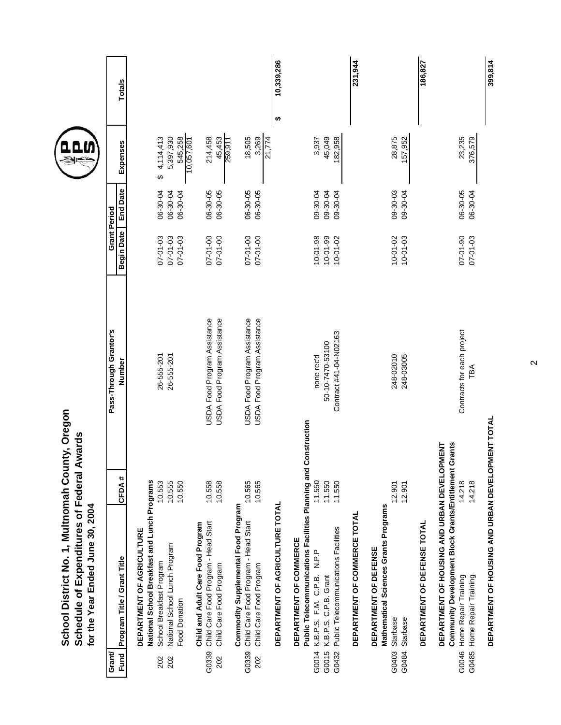| Schedule of Expenditures of Federal Awards<br>School District No. 1, Multnomah Cour<br>for the Year Ended June 30, 2004               | nty, Oregon            |                                  |                                   |                 |                       |                 |
|---------------------------------------------------------------------------------------------------------------------------------------|------------------------|----------------------------------|-----------------------------------|-----------------|-----------------------|-----------------|
| Program Title / Grant Title<br>Fund<br>Grant                                                                                          | CFDA#                  | Pass-Through Grantor's<br>Number | Grant Period<br><b>Begin Date</b> | <b>End Date</b> | Expenses              | Totals          |
| National School Breakfast and Lunch Programs<br>DEPARTMENT OF AGRICULTURE                                                             |                        |                                  |                                   |                 |                       |                 |
| School Breakfast Program<br>202                                                                                                       | 10.553                 | 26-555-201                       | $07 - 01 - 03$                    | 06-30-04        | 4,114,413<br>↮        |                 |
| National School Lunch Program<br>202                                                                                                  | 10.555                 | 26-555-201                       | 07-01-03                          | 06-30-04        | 5,397,930             |                 |
| Food Donation                                                                                                                         | 10.550                 |                                  | $07 - 01 - 03$                    | 06-30-04        | 545,258<br>10,057,601 |                 |
| Child Care Food Program - Head Start<br>Child and Adult Care Food Program<br>G0339                                                    | 10.558                 | USDA Food Program Assistance     | 07-01-00                          | 06-30-05        | 214,458               |                 |
| Child Care Food Program<br>202                                                                                                        | 10.558                 | USDA Food Program Assistance     | 07-01-00                          | 06-30-05        | 45,453                |                 |
| Commodity Supplemental Food Program                                                                                                   |                        |                                  |                                   |                 | 259,911               |                 |
| Child Care Food Program - Head Start<br>G0339                                                                                         | 10.565                 | USDA Food Program Assistance     | 07-01-00                          | 06-30-05        | 18,505                |                 |
| Child Care Food Program<br>202                                                                                                        | 10.565                 | USDA Food Program Assistance     | 07-01-00                          | 06-30-05        | 21,774<br>3,269       |                 |
| DEPARTMENT OF AGRICULTURE TOTAL                                                                                                       |                        |                                  |                                   |                 |                       | 10,339,286<br>↮ |
| Public Telecommunications Facilities Planning and<br>DEPARTMENT OF COMMERCE<br>N.P.P<br>K.B.P.S. F.M. C.P.B.<br>G0014                 | Construction<br>11.550 | none rec'd                       | $10 - 01 - 98$                    | 09-30-04        | 3,937                 |                 |
| K.B.P.S. C.P.B. Grant<br>G0015                                                                                                        | 11.550                 | 50-10-7470-53100                 | $10 - 01 - 99$                    | 09-30-04        | 45,049                |                 |
| Public Telecommunications Facilities<br>G0432                                                                                         | 11.550                 | Contract #41-04-N02163           | $10 - 01 - 02$                    | 09-30-04        | 182,958               |                 |
| DEPARTMENT OF COMMERCE TOTAL                                                                                                          |                        |                                  |                                   |                 |                       | 231,944         |
| Mathematical Sciences Grants Programs<br>DEPARTMENT OF DEFENSE<br><b>Starbase</b><br>G0403                                            | 12.901                 | 248-02010                        | $10 - 01 - 02$                    | 09-30-03        | 28,875                |                 |
| Starbase<br>G0484                                                                                                                     | 12.901                 | 248-03005                        | $10 - 01 - 03$                    | 09-30-04        | 157,952               |                 |
| DEPARTMENT OF DEFENSE TOTAL                                                                                                           |                        |                                  |                                   |                 |                       | 186,827         |
| Community Development Block Grants/Entitlement Grants<br>DEPARTMENT OF HOUSING AND URBAN DEVELOPMENT<br>Home Repair Training<br>G0046 | 14.218                 | Contracts for each project       | 07-01-90                          | 06-30-05        | 23,235                |                 |
| Home Repair Training<br>G0485                                                                                                         | 14.218                 | TBA                              | $07 - 01 - 03$                    | 06-30-04        | 376,579               |                 |
| DEPARTMENT OF HOUSING AND URBAN DEVELOPMENT TOTAL                                                                                     |                        |                                  |                                   |                 |                       | 399,814         |

 $\boldsymbol{\sim}$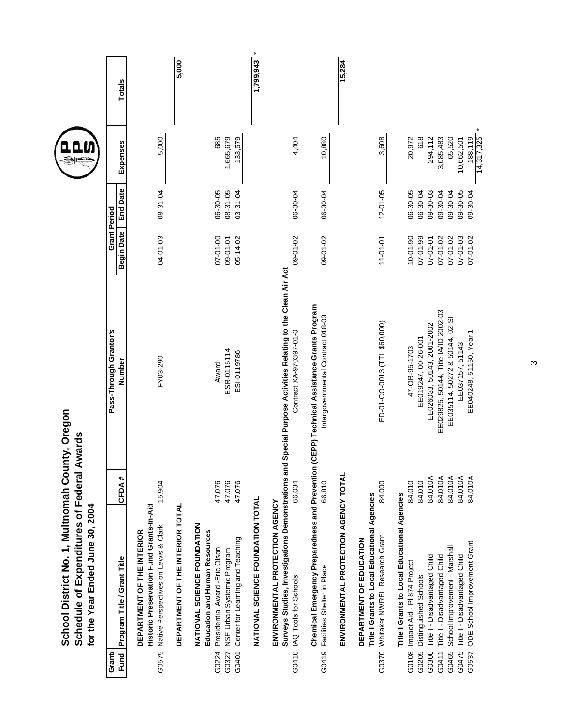|                         | School District No. 1, Multnomah County, Oregon<br>Schedule of Expenditures of Federal Awards<br>for the Year Ended June 30, 2004                                       |                               |                                                                                                                                        |                                                    |                                              |                                 |               |
|-------------------------|-------------------------------------------------------------------------------------------------------------------------------------------------------------------------|-------------------------------|----------------------------------------------------------------------------------------------------------------------------------------|----------------------------------------------------|----------------------------------------------|---------------------------------|---------------|
| Grant/<br>Fund          | Program Title / Grant Title                                                                                                                                             | CFDA#                         | Pass-Through Grantor's<br>Number                                                                                                       | <b>Grant Period</b><br><b>Begin Date</b>           | <b>End Date</b>                              | Expenses                        | <b>Totals</b> |
| G0575                   | Historic Preservation Fund Grants-In-Aid<br>Native Perspectives on Lewis & Clark<br>DEPARTMENT OF THE INTERIOR                                                          | 15.904                        | FY03-290                                                                                                                               | 04-01-03                                           | 08-31-04                                     | 5,000                           |               |
|                         | DEPARTMENT OF THE INTERIOR TOTAL                                                                                                                                        |                               |                                                                                                                                        |                                                    |                                              |                                 | 5,000         |
| G0224<br>G0327<br>G0401 | NATIONAL SCIENCE FOUNDATION<br><b>Education and Human Resources</b><br>Center for Learning and Teaching<br>Presidential Award -Eric Olson<br>NSF Urban Systemic Program | 47.076<br>47.076<br>47.076    | ESR-0115114<br>ESI-0119786<br>Award                                                                                                    | 07-01-00<br>$05 - 14 - 02$<br>09-01-01             | $08 - 31 - 05$<br>06-30-05<br>$03 - 31 - 04$ | 1,665,679<br>685<br>133,579     |               |
|                         | NATIONAL SCIENCE FOUNDATION TOTAL                                                                                                                                       |                               |                                                                                                                                        |                                                    |                                              |                                 | 1,799,943     |
| G0418                   | ENVIRONMENTAL PROTECTION AGENCY<br>IAQ Tools for Schools                                                                                                                | 66.034                        | Surveys Studies, Investigations Demonstrations and Special Purpose Activities Relating to the Clean Air Act<br>Contract XA-970397-01-0 | 09-01-02                                           | 06-30-04                                     | 4,404                           |               |
| G0419                   | Chemical Emergency Preparedness and Prevention (C<br>Facilities Shelter in Place                                                                                        | 66.810                        | EPP) Technical Assistance Grants Program<br>Intergovernmental Contract 018-03                                                          | 09-01-02                                           | 06-30-04                                     | 10,880                          |               |
|                         | ENVIRONMENTAL PROTECTION AGENCY TOTAL                                                                                                                                   |                               |                                                                                                                                        |                                                    |                                              |                                 | 15,284        |
|                         | Title I Grants to Local Educational Agencies<br>G0370 Whitaker NWREL Research Grant<br>DEPARTMENT OF EDUCATION                                                          | 84.000                        | ED-01-CO-0013 (TTL \$60,000)                                                                                                           | $11 - 01 - 01$                                     | $12 - 01 - 05$                               | 3,608                           |               |
| G0108<br>G0300<br>G0205 | Title I Grants to Local Educational Agencies<br>Title I - Disadvantaged Child<br>Impact Aid - PI 874 Project<br>Distinguished Schools                                   | 84.010A<br>84.010<br>84.010   | EE026033, 50143, 2001-2002<br>EE019247, 00-26-001<br>47-OR-95-1703                                                                     | $10 - 01 - 90$<br>$07 - 01 - 99$<br>$07 - 01 - 01$ | 06-30-05<br>06-30-04<br>$09 - 30 - 03$       | 20,972<br>618<br>294,112        |               |
| G0411                   | Title I - Disadvantaged Child                                                                                                                                           | 84.010A                       | EE029825, 50144, Title IA/ID 2002-03                                                                                                   | 07-01-02                                           | 09-30-04                                     | 3,085,483                       |               |
| G0475<br>G0537<br>G0465 | ODE School Improvement Grant<br>School Improvement - Marshall<br>Title I - Disadvantaged Child                                                                          | 84.010A<br>84.010A<br>84.010A | EE035114, 50272 & 50144, 02-SI<br>EE040248, 51150, Year 1<br>EE037157, 51143                                                           | $07 - 01 - 03$<br>07-01-02<br>07-01-02             | 09-30-04<br>09-30-05<br>09-30-04             | 65,520<br>188,119<br>10,662,501 |               |
|                         |                                                                                                                                                                         |                               |                                                                                                                                        |                                                    |                                              | 14,317,325                      |               |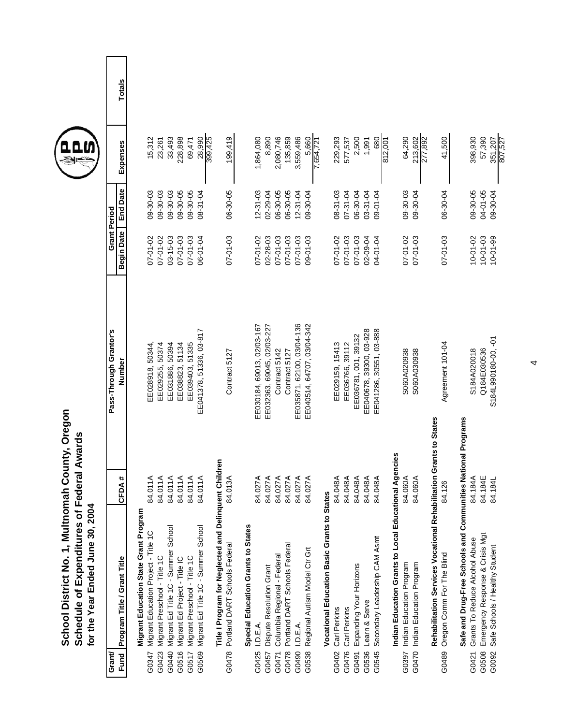| School District No. 1, Multnomah County, Oregon | Schedule of Expenditures of Federal Awards | for the Year Ended June 30, 2004 |
|-------------------------------------------------|--------------------------------------------|----------------------------------|
|                                                 |                                            |                                  |



**Totals** 

| Grant/                                                             |                      |                                  | <b>Grant Period</b> |                 |                    |        |
|--------------------------------------------------------------------|----------------------|----------------------------------|---------------------|-----------------|--------------------|--------|
| Program Title / Grant Title<br>Fund                                | CFDA#                | Pass-Through Grantor's<br>Number | Begin Date          | <b>End Date</b> | Expenses           | Totals |
| Migrant Education State Grant Program                              |                      |                                  |                     |                 |                    |        |
| Migrant Education Project - Title 1C<br>G0347                      | 84.011A              | EE028918, 50344,                 | 07-01-02            | 09-30-03        | 15,312             |        |
| Migrant Preschool - Title 1C<br>G0423                              | 84.011A              | EE029255, 50374                  | $07 - 01 - 02$      | $09 - 30 - 03$  | 23,261             |        |
| Migrant Ed Title 1C - Summer School<br>G0440                       | 84.011A              | EE031886, 50394                  | $03 - 15 - 03$      | $09 - 30 - 03$  | 33,493             |        |
| Migrant Ed Project - Title IC<br>G0516                             | 84.011A              | EE038823, 51134                  | $07 - 01 - 03$      | 09-30-05        | 228,898            |        |
| Migrant Preschool - Title 1C<br>G0517                              | 84.011A              | EE039403, 51335                  | 07-01-03            | 09-30-05        | 69,471             |        |
| Migrant Ed Title 1C - Summer School<br>G0569                       | 84.011A              | EE041378, 51336, 03-817          | 06-01-04            | $08 - 31 - 04$  | 28,990<br>399,425  |        |
| Title I Program for Neglected and Delinquent Children              |                      |                                  |                     |                 |                    |        |
| Portland DART Schools Federal<br>G0478                             | 84.013A              | Contract 5127                    | $07 - 01 - 03$      | 06-30-05        | 199,419            |        |
| Special Education Grants to States                                 |                      |                                  |                     |                 |                    |        |
| I.D.E.A.<br>G0425                                                  | 84.027A              | EE030184, 69013, 02/03-167       | 07-01-02            | $12 - 31 - 03$  | 1,864,080          |        |
| Dispute Resolution Grant<br>G0457                                  | 84.027A              | EE032363, 69045, 02/03-227       | $02 - 28 - 03$      | $02 - 29 - 04$  | 8,890              |        |
| Columbia Regional - Federal<br>G0471                               | 84.027A              | Contract 5142                    | $07 - 01 - 03$      | 06-30-05        | 2,080,746          |        |
| Portland DART Schools Federal<br>G0478                             | 84.027A              | Contract 5127                    | 07-01-03            | 06-30-05        | 135,859            |        |
| I.D.E.A.<br>G0490                                                  | 84.027A              | EE035871, 62100, 03/04-136       | $07 - 01 - 03$      | $12 - 31 - 04$  | 3,559,486          |        |
| Regional Autism Model Ctr Grt<br>G0538                             | 84.027A              | EE040514, 64707, 03/04-342       | 09-01-03            | 09-30-04        | 5,660              |        |
| Vocational Education Basic Grants to States                        |                      |                                  |                     |                 | 7,654,721          |        |
| Carl Perkins<br>G0402                                              | 84.048A              | EE029159, 15413                  | 07-01-02            | $08 - 31 - 03$  | 229,293            |        |
| Carl Perkins<br>G0476                                              | 84.048A              | EE036766, 39112                  | $07 - 01 - 03$      | $07 - 31 - 04$  | 577,537            |        |
| Expanding Your Horizons<br>G0491                                   | 84.048A              | EE036781, 001, 39132             | $07 - 01 - 03$      | 06-30-04        | 2,500              |        |
| Learn & Serve<br>G0536                                             | 84.048A              | EE040678, 39300, 03-928          | 02-09-04            | 03-31-04        | 1,991              |        |
| Secondary Leadership CAM Asmt<br>G0545                             | 84.048A              | EE041286, 30551, 03-888          | 04-01-04            | 09-01-04        | 680                |        |
|                                                                    |                      |                                  |                     |                 | 812,001            |        |
| Indian Education Grants to Local Educational Agencies              |                      |                                  |                     |                 |                    |        |
| Indian Education Program<br>G0397                                  | 84.060A              | S060A020938                      | 07-01-02            | 09-30-03        | 64,290             |        |
| Indian Education Program<br>G0470                                  | 84.060A              | S060A030938                      | 07-01-03            | 09-30-04        | 213,602<br>277,892 |        |
| Rehabilitation Services Vocational Rehabilitation Grants to States |                      |                                  |                     |                 |                    |        |
| Oregon Comm For The Blind<br>G0489                                 | 126<br>$\frac{4}{3}$ | Agreement 101-04                 | 07-01-03            | 06-30-04        | 41,500             |        |
| Safe and Drug-Free Schools and Communities National Programs       |                      |                                  |                     |                 |                    |        |
| Grants To Reduce Alcohol Abuse<br>G0421                            | 184A<br>84.1         | S184A020018                      | $10 - 01 - 02$      | 09-30-05        | 398,930            |        |
| Emergency Response & Crisis Mgt<br>G0508                           | 184E<br>84.1         | Q184E030536                      | $10 - 01 - 03$      | 04-01-05        | 57,390             |        |
| Safe Schools / Healthy Student<br>G0092                            | 184L<br>84.          | S184L990180-00, -01              | $10 - 01 - 99$      | 09-30-04        | 351,207<br>807,527 |        |
|                                                                    |                      |                                  |                     |                 |                    |        |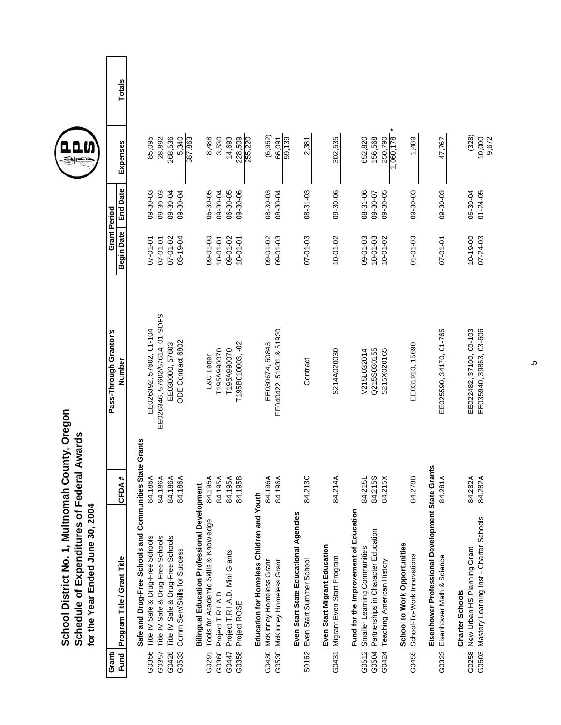| School District No. 1, Multnomah County, Oregon | Schedule of Expenditures of Federal Awards | for the Year Ended June 30, 2004 |
|-------------------------------------------------|--------------------------------------------|----------------------------------|
|                                                 |                                            |                                  |



**Totals** 

| Grant                                                                      |                       | Pass-Through Grantor's         | <b>Grant Period</b> |                 |                        |        |
|----------------------------------------------------------------------------|-----------------------|--------------------------------|---------------------|-----------------|------------------------|--------|
| Program Title / Grant Title<br>Fund                                        | DA #<br>동             | Number                         | Begin Date          | <b>End Date</b> | Expenses               | Totals |
| Safe and Drug-Free Schools and Communities State Grants                    |                       |                                |                     |                 |                        |        |
| Title IV Safe & Drug-Free Schools<br>G0356                                 | 186A<br>$\frac{4}{3}$ | EE026392, 57602, 01-104        | 07-01-01            | 09-30-03        | 85,095                 |        |
| Title IV Safe & Drug-Free Schools<br>G0357                                 | 186A<br>84.1          | EE026346, 57602/57614, 01-SDFS | 07-01-01            | $09 - 30 - 03$  | 28,892                 |        |
| Title IV Safe & Drug-Free Schools<br>G0426                                 | 186A<br>84.1          | EE030000, 57603                | 07-01-02            | 09-30-04        | 268,536                |        |
| Comm Serv/Skills for Success<br>G0533                                      | 186A<br>34.7          | ODE Contract 6802              | 03-19-04            | 09-30-04        | 387,863<br>5,340       |        |
| <b>Bilingual Education Professional Developme</b>                          | Ĕ                     |                                |                     |                 |                        |        |
| Tools for Academic Skills & Knowledge<br>G0291                             | 195A<br>.<br>ळ        | L&C Letter                     | 09-01-00            | 06-30-05        | 8,488                  |        |
| Project T.R.I.A.D.<br>G0360                                                | 195A<br>84.1          | T195A990070                    | $10 - 01 - 01$      | 09-30-04        | 3,530                  |        |
| Project T.R.I.A.D. Mini Grants<br>G0447                                    | 195A<br>84.1          | T195A990070                    | 09-01-02            | 06-30-05        | 14,693                 |        |
| Project ROSE<br>G0358                                                      | <b>95B</b><br>34.1    | T195B010003, -02               | $10 - 01 - 01$      | 09-30-06        | 228,509<br>255,220     |        |
| Education for Homeless Children and Youth                                  |                       |                                |                     |                 |                        |        |
| McKinney Homeless Grant<br>G0430                                           | 196A<br>$\dot{a}$     | EE030674, 50843                | 09-01-02            | $08 - 30 - 03$  | (6, 952)               |        |
| G0530 McKinney Homeless Grant                                              | 196A<br>34.7          | EE040422, 51931 & 51930,       | 09-01-03            | 08-30-04        | 59,139<br>66,091       |        |
| Even Start State Educational Agencies<br>Even Start Summer School<br>S0162 | 84.213C               | Contract                       | $07 - 01 - 03$      | 08-31-03        | 2,381                  |        |
| Even Start Migrant Education                                               |                       |                                |                     |                 |                        |        |
| Migrant Even Start Program<br>G0431                                        | 84.214A               | S214A020030                    | $10 - 01 - 02$      | 09-30-06        | 302,535                |        |
| Fund for the Improvement of Education                                      |                       |                                |                     |                 |                        |        |
| Smaller Learning Communities<br>G0512                                      | 84-215L               | V215L032014                    | 09-01-03            | 08-31-06        | 652,820                |        |
| Partnerships in Character Education<br>G0504                               | 84.215S               | Q215S030155                    | $10 - 01 - 03$      | 09-30-07        | 156,568                |        |
| Teaching American History<br>G0424                                         | 84.215X               | S215X020165                    | $10 - 01 - 02$      | $09 - 30 - 05$  | 1,060,178<br>250,790   |        |
| School to Work Opportunities                                               |                       |                                |                     |                 |                        |        |
| School-To-Work Innovations<br>G0455                                        | 84.278B               | EE031910, 15690                | $01 - 01 - 03$      | $09 - 30 - 03$  | 1,489                  |        |
| Eisenhower Professional Development State Grants                           |                       |                                |                     |                 |                        |        |
| Eisenhower Math & Science<br>G0323                                         | 84.281A               | EE025590, 34170, 01-765        | $07 - 01 - 01$      | 09-30-03        | 47,767                 |        |
| New Urban HS Planning Grant<br>Charter Schools<br>G0258                    | 84.282A               | EE022482, 37100, 00-103        | $10 - 19 - 00$      | 06-30-04        | (328)                  |        |
| G0503 Mastery Learning Inst - Charter Schools                              | 84.282A               | EE035940, 39863, 03-606        | $07 - 24 - 03$      | $01 - 24 - 05$  | $\frac{10,000}{9,672}$ |        |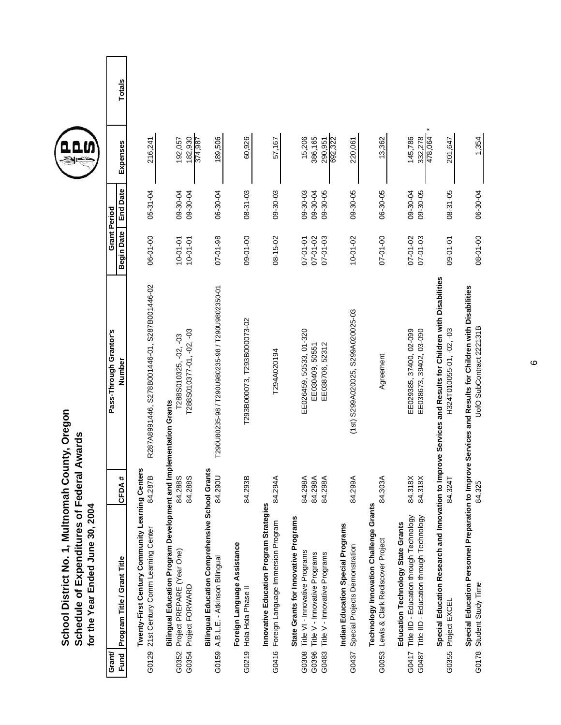|                                   | School District No. 1, Multnomah County, Oregon<br>Schedule of Expenditures of Federal Awards<br>for the Year Ended June 30, 2004        |                               |                                                                                                                                      |                                              |                                        |                               |        |
|-----------------------------------|------------------------------------------------------------------------------------------------------------------------------------------|-------------------------------|--------------------------------------------------------------------------------------------------------------------------------------|----------------------------------------------|----------------------------------------|-------------------------------|--------|
| Grant/                            |                                                                                                                                          |                               | Pass-Through Grantor's                                                                                                               |                                              | <b>Grant Period</b>                    |                               |        |
| Fund                              | Program Title / Grant Title                                                                                                              | CFDA#                         | Number                                                                                                                               | <b>Begin Date</b>                            | <b>End Date</b>                        | Expenses                      | Totals |
| G0129                             | Twenty-First Century Community Learning Centers<br>21st Century Comm Learning Center                                                     | 84.287B                       | R287A8991446, S278B001446-01, S287B001446-02                                                                                         | 06-01-00                                     | $05 - 31 - 04$                         | 216,241                       |        |
| Project FORWARD<br>G0354<br>G0352 | Bilingual Education Program Development and Implementation Grants<br>Project PREPARE (Year One)                                          | 84.288S<br>84.288S            | T288S010377-01, -02, -03<br>T288S010325, -02, -03                                                                                    | $10 - 01 - 01$<br>$10 - 01 - 01$             | 09-30-04<br>09-30-04                   | 182,930<br>374,987<br>192,057 |        |
| G0159                             | Bilingual Education Comprehensive School Grants<br>A.B.L.E. - Atkinson Bilingual                                                         | 84.290U                       | T290U80235-98 / T290U980235-98 / T290U9802350-01                                                                                     | $07 - 01 - 98$                               | 06-30-04                               | 189,506                       |        |
| Hola Hola Phase II<br>G0219       | Foreign Language Assistance                                                                                                              | 84.293B                       | T293B000073, T293B000073-02                                                                                                          | 09-01-00                                     | $08 - 31 - 03$                         | 60,926                        |        |
| G0416                             | Innovative Education Program Strategies<br>Foreign Language Immersion Program                                                            | 84.294A                       | T294A020194                                                                                                                          | 08-15-02                                     | 09-30-03                               | 57,167                        |        |
| G0396<br>G0483<br>G0308           | State Grants for Innovative Programs<br>Title VI - Innovative Programs<br>Title V - Innovative Programs<br>Title V - Innovative Programs | 84.298A<br>84.298A<br>84.298A | EE026459, 50533, 01-320<br>EE038706, 52312<br>EE030409, 50551                                                                        | $07 - 01 - 02$<br>$07 - 01 - 03$<br>07-01-01 | 09-30-05<br>$09 - 30 - 03$<br>09-30-04 | 15,206<br>386,165<br>290,951  |        |
| G0437                             | Indian Education Special Programs<br>Special Projects Demonstration                                                                      | 84.299A                       | (1st) S299A020025, S299A020025-03                                                                                                    | $10 - 01 - 02$                               | 09-30-05                               | 692,322<br>220,061            |        |
| G0053                             | <b>Technology Innovation Challenge Grants</b><br>Lewis & Clark Rediscover Project                                                        | 84.303A                       | Agreement                                                                                                                            | 07-01-00                                     | 06-30-05                               | 13,362                        |        |
| G0417<br>G0487                    | Title IID - Education through Technology<br>Title IID - Education through Technology<br>Education Technology State Grants                | 84.318X<br>84.318X            | EE029385, 37400, 02-099<br>EE038673, 39402, 03-090                                                                                   | $07 - 01 - 03$<br>$07 - 01 - 02$             | 09-30-05<br>09-30-04                   | 145,786<br>332,278<br>478,064 |        |
| Project EXCEL<br>G0355            |                                                                                                                                          | 84.324T                       | Special Education Research and Innovation to Improve Services and Results for Children with Disabilities<br>H324T010055-01, -02, -03 | 09-01-01                                     | $08 - 31 - 05$                         | 201,647                       |        |
| G0178 Student Study Time          | Special Education Personnel Preparation to                                                                                               | 84.325                        | Improve Services and Results for Children with Disabilities<br>UofO SubContract 222131B                                              | 08-01-00                                     | 06-30-04                               | 1,354                         |        |



Totals

6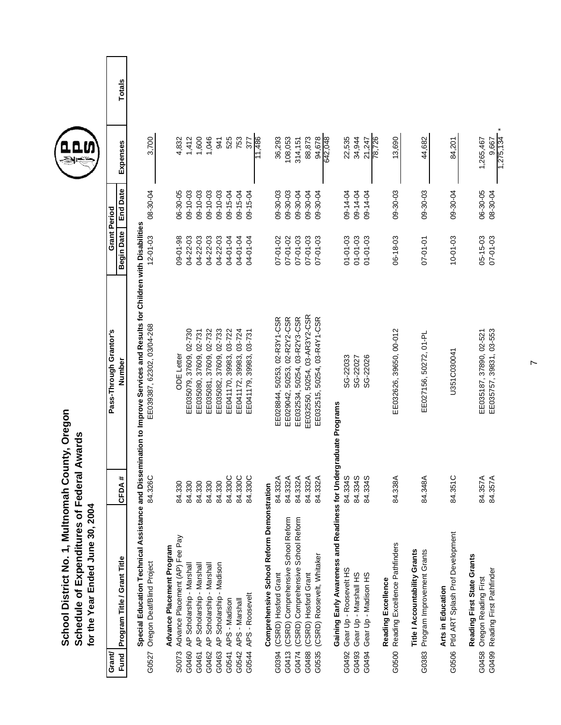|                | Schedule of Expenditures of Federal Awards<br>School District No. 1, Multnomah<br>for the Year Ended June 30, 2004 |                            | County, Oregon                                                                                                                                        |                            |                                        |                                     |               |
|----------------|--------------------------------------------------------------------------------------------------------------------|----------------------------|-------------------------------------------------------------------------------------------------------------------------------------------------------|----------------------------|----------------------------------------|-------------------------------------|---------------|
| Grant/<br>Fund | Program Title / Grant Title                                                                                        | #<br>CFDA                  | Pass-Through Grantor's<br>Number                                                                                                                      | <b>Begin Date</b>          | <b>End Date</b><br><b>Grant Period</b> | Expenses                            | <b>Totals</b> |
| G0527          | Oregon Deaf/Blind Project                                                                                          | 84.326C                    | Special Education Technical Assistance and Dissemination to Improve Services and Results for Children with Disabilities<br>EE039387, 62302, 03/04-268 | $12 - 01 - 03$             | 08-30-04                               | 3,700                               |               |
| S0073          | Advance Placement (AP) Fee Pay<br>Advance Placement Program                                                        | 84.330                     | <b>ODE</b> Letter                                                                                                                                     | 09-01-98                   | 06-30-05                               | 4,832                               |               |
| G0460          | AP Scholarship - Marshall                                                                                          |                            | EE035079, 37609, 02-730                                                                                                                               | 04-22-03                   | $09 - 10 - 03$                         | 1,412                               |               |
| G0461          | AP Scholarship - Marshall                                                                                          | 84.330<br>84.330<br>84.330 | EE035080, 37609, 02-731                                                                                                                               | $04 - 22 - 03$             | 09-10-03                               | 1,600                               |               |
| G0463<br>G0462 | AP Scholarship - Marshall                                                                                          | 84.330                     | EE035082, 37609, 02-733<br>EE035081, 37609, 02-732                                                                                                    | 04-22-03<br>04-22-03       | $09 - 10 - 03$<br>$09 - 10 - 03$       | 1,046<br>941                        |               |
| G0541          | AP Scholarship - Madison<br>APS - Madison                                                                          | 84.330C                    | EE041170, 39983, 03-722                                                                                                                               | 04-01-04                   | 09-15-04                               | 525                                 |               |
| G0542          | APS - Marshall                                                                                                     | 84.330C                    | EE041172, 39983, 03-724                                                                                                                               | 04-01-04                   | 09-15-04                               | 753                                 |               |
| G0544          | APS - Roosevelt                                                                                                    | 84.330C                    | EE041179, 39983, 03-731                                                                                                                               | 04-01-04                   | 09-15-04                               | 377                                 |               |
|                | Comprehensive School Reform Demonstration                                                                          |                            |                                                                                                                                                       |                            |                                        | 1,486                               |               |
| G0394          | (CSRD) Hosford Grant                                                                                               | 84.332A                    | EE028844, 50253, 02-R3Y1-CSR                                                                                                                          | $07 - 01 - 02$             | 09-30-03                               | 36,293                              |               |
| G0413          | (CSRD) Comprehensive School Reform                                                                                 | 84.332A                    | EE029042, 50253, 02-R2Y2-CSR                                                                                                                          | $07 - 01 - 02$             | $09 - 30 - 03$                         | 108,053                             |               |
| G0474          | (CSRD) Comprehensive School Reform                                                                                 | 84.332A                    | EE032534, 50254, 03-R2Y3-CSR                                                                                                                          | $07 - 01 - 03$             | 09-30-04                               | 314,151                             |               |
| G0488          | (CSRD) Hosford Grant                                                                                               | 84.332A                    | EE032550, 50254, 03-AR3Y2-CSR                                                                                                                         | 07-01-03                   | 09-30-04                               | 88,873                              |               |
| G0535          | (CSRD) Roosevelt, Whitaker                                                                                         | 84.332A                    | EE032515, 50254, 03-R4Y1-CSR                                                                                                                          | $07 - 01 - 03$             | 09-30-04                               | 94,678                              |               |
|                | Gaining Early Awareness and Readiness for Undergraduate Programs                                                   |                            |                                                                                                                                                       |                            |                                        | 642,048                             |               |
| G0492          | Gear Up - Roosevelt HS                                                                                             | 84.334S                    | SG-22033                                                                                                                                              | $01 - 01 - 03$             | 09-14-04                               | 22,535                              |               |
| G0493          | Gear Up - Marshall HS                                                                                              | 84.334S                    | SG-22027                                                                                                                                              | 01-01-03                   | 09-14-04                               | 34,944                              |               |
| G0494          | Gear Up - Madison HS                                                                                               | 84.334S                    | SG-22026                                                                                                                                              | $01 - 01 - 03$             | 09-14-04                               | 78,726<br>21,247                    |               |
|                | Reading Excellence                                                                                                 |                            |                                                                                                                                                       |                            |                                        |                                     |               |
| G0500          | Reading Excellence Pathfinders                                                                                     | 84.338A                    | EE032626, 39650, 00-012                                                                                                                               | $06 - 18 - 03$             | 09-30-03                               | 13,690                              |               |
| G0383          | Title I Accountability Grants<br>Program Improvement Grants                                                        | $\mathbb{S}^2$<br>84.348   | EE027156, 50272, 01-PL                                                                                                                                | 07-01-01                   | $09 - 30 - 03$                         | 44,682                              |               |
| G0506          | Ptld ART Splash Prof Development<br>Arts in Education                                                              | 84.351C                    | U351C030041                                                                                                                                           | $10 - 01 - 03$             | 09-30-04                               | 84,201                              |               |
| G0499<br>G0458 | Reading First State Grants<br>Reading First Pathfinder<br>Oregon Reading First                                     | 84.357A<br>84.357A         | EE035757, 39831, 03-553<br>EE035187, 37890, 02-521                                                                                                    | $05 - 15 - 03$<br>07-01-03 | 06-30-05<br>08-30-04                   | $1,275,134$ *<br>1,265,467<br>9,667 |               |



 $\overline{r}$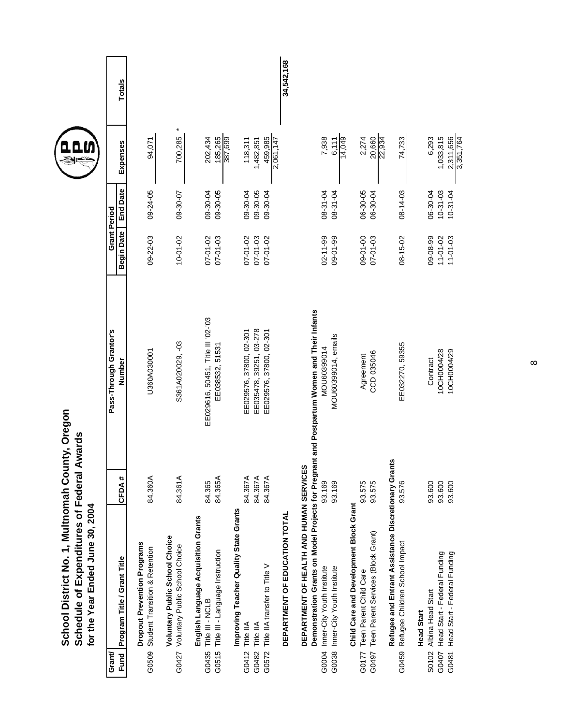| School District No. 1, Multnomah County, Oregon<br>Schedule of Expenditures of Federal Awards<br>for the Year Ended June 30, 2004                                         |                               |                                                                               |                                              |                                        |                                              |               |
|---------------------------------------------------------------------------------------------------------------------------------------------------------------------------|-------------------------------|-------------------------------------------------------------------------------|----------------------------------------------|----------------------------------------|----------------------------------------------|---------------|
| Program Title / Grant Title<br>Grant<br>Fund                                                                                                                              | CFDA#                         | Pass-Through Grantor's<br>Number                                              | <b>Begin Date</b>                            | <b>End Date</b><br><b>Grant Period</b> | Expenses                                     | <b>Totals</b> |
| <b>Dropout Prevention Programs</b><br>Student Transition & Retention<br>G0509                                                                                             | 84.360A                       | U360A030001                                                                   | $09 - 22 - 03$                               | 09-24-05                               | 94,071                                       |               |
| <b>Voluntary Public School Choice</b><br>Voluntary Public School Choice<br>G0427                                                                                          | 84.361A                       | S361A020029, -03                                                              | $10 - 01 - 02$                               | 09-30-07                               | 700,285                                      |               |
| English Language Acquisition Grants<br>Title III - Language Instruction<br>Title III - NCLB<br>G0435<br>G0515                                                             | 84.365A<br>84.365             | EE029616, 50451, Title III '02-'03<br>EE038532, 51531                         | $07 - 01 - 02$<br>$07 - 01 - 03$             | 09-30-04<br>09-30-05                   | 202,434<br>185,265<br>387,699                |               |
| Improving Teacher Quality State Grants<br>Title IIA transfer to Title V<br>Title IIA<br>Title IIA<br>G0572<br>G0482<br>G0412                                              | 84.367A<br>84.367A<br>84.367A | EE035478, 39251, 03-278<br>EE029576, 37800, 02-301<br>EE029576, 37800, 02-301 | $07 - 01 - 03$<br>07-01-02<br>$07 - 01 - 02$ | 09-30-04<br>09-30-05<br>09-30-04       | 459,985<br>118,311<br>1,482,851<br>2,061,147 |               |
| DEPARTMENT OF EDUCATION TOTAL                                                                                                                                             |                               |                                                                               |                                              |                                        |                                              | 34,542,168    |
| Demonstration Grants on Model Projects for Pregnant<br>DEPARTMENT OF HEALTH AND HUMAN SERVICES<br>Inner-City Youth Institute<br>G0004 Inner-City Youth Institute<br>G0038 | 93.169<br>93.169              | and Postpartum Women and Their Infants<br>MOU60399014, emails<br>MOU60399014  | $02 - 11 - 99$<br>09-01-99                   | 08-31-04<br>08-31-04                   | 14,049<br>7,938<br>6,111                     |               |
| Child Care and Development Block Grant<br>Teen Parent Services (Block Grant)<br>Teen Parent Child Care<br>G0497<br>G0177                                                  | 93.575<br>93.575              | CCD 035046<br>Agreement                                                       | 09-01-00<br>$07 - 01 - 03$                   | 06-30-05<br>06-30-04                   | 20,660<br>22,934<br>2,274                    |               |
| Refugee and Entrant Assistance Discretionary Grants<br>Refugee Children School Impact<br>G0459                                                                            | 93.576                        | EE032270, 59355                                                               | $08 - 15 - 02$                               | $08 - 14 - 03$                         | 74,733                                       |               |
| Head Start - Federal Funding<br>Head Start - Federal Funding<br>Albina Head Start<br><b>Head Start</b><br>G0407<br>G0481<br>S0102                                         | 93.600<br>93.600<br>93.600    | 10CH0004/28<br>10CH0004/29<br>Contract                                        | 09-08-99<br>$11 - 01 - 02$<br>$11 - 01 - 03$ | $10-31-03$<br>$10-31-04$<br>06-30-04   | 3,351,764<br>1,033,815<br>2,311,656<br>6,293 |               |

 $\infty$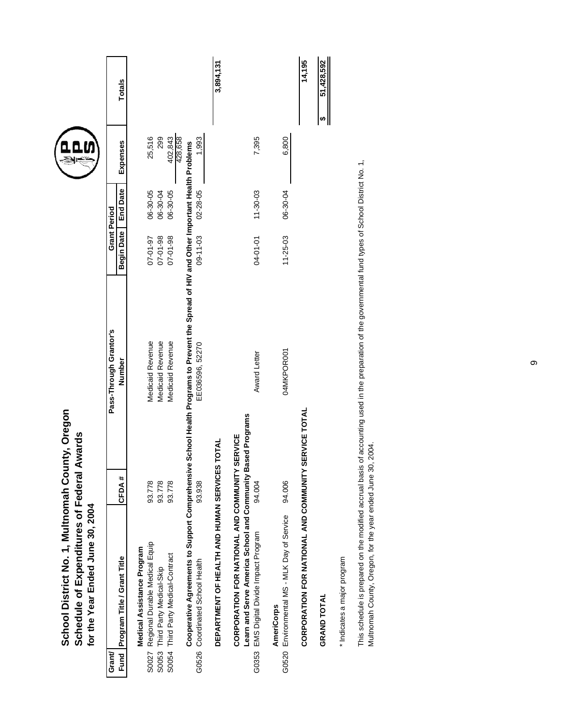|        | School District No. 1, Multnomah County, Oregon<br>Schedule of Expenditures of Federal Awards<br>for the Year Ended June 30, 2004                                                                               |        |                                                                                         |                     |                 |                    |               |
|--------|-----------------------------------------------------------------------------------------------------------------------------------------------------------------------------------------------------------------|--------|-----------------------------------------------------------------------------------------|---------------------|-----------------|--------------------|---------------|
| Grant/ |                                                                                                                                                                                                                 |        | Pass-Through Grantor's                                                                  | <b>Grant Period</b> |                 |                    |               |
| Fund   | Program Title / Grant Title                                                                                                                                                                                     | CFDA#  | Number                                                                                  | <b>Begin Date</b>   | <b>End Date</b> | Expenses           | <b>Totals</b> |
|        | Medical Assistance Program                                                                                                                                                                                      |        |                                                                                         |                     |                 |                    |               |
| S0027  | Regional Durable Medical Equip                                                                                                                                                                                  | 93.778 | Medicaid Revenue                                                                        | 07-01-97            | 06-30-05        | 25,516             |               |
| S0053  | Third Party Medical-Skip                                                                                                                                                                                        | 93.778 | Medicaid Revenue                                                                        | $07 - 01 - 98$      | 06-30-04        | 299                |               |
| S0054  | Third Party Medical-Contract                                                                                                                                                                                    | 93.778 | Medicaid Revenue                                                                        | 07-01-98            | 06-30-05        | 428,658<br>402,843 |               |
|        | Cooperative Agreements to Support Comprehensive                                                                                                                                                                 |        | School Health Programs to Prevent the Spread of HIV and Other Important Health Problems |                     |                 |                    |               |
| G0526  | Coordinated School Health                                                                                                                                                                                       | 93.938 | EE036596, 52270                                                                         | $09 - 11 - 03$      | $02 - 28 - 05$  | 1,993              |               |
|        | DEPARTMENT OF HEALTH AND HUMAN SERVICES TOTAL                                                                                                                                                                   |        |                                                                                         |                     |                 |                    | 3,894,131     |
|        | Learn and Serve America School and Community Based Programs<br>CORPORATION FOR NATIONAL AND COMMUNITY SERVICE                                                                                                   |        |                                                                                         |                     |                 |                    |               |
| G0353  | EMS Digital Divide Impact Program                                                                                                                                                                               | 94.004 | Award Letter                                                                            | 04-01-01            | $11 - 30 - 03$  | 7,395              |               |
| G0520  | Environmental MS - MLK Day of Service<br><b>AmeriCorps</b>                                                                                                                                                      | 94.006 | 04MKPOR001                                                                              | $11 - 25 - 03$      | 06-30-04        | 6,800              |               |
|        | CORPORATION FOR NATIONAL AND COMMUNITY SERVICE TOTAL                                                                                                                                                            |        |                                                                                         |                     |                 |                    | 14,195        |
|        | <b>GRAND TOTAL</b>                                                                                                                                                                                              |        |                                                                                         |                     |                 |                    | 51,428,592    |
|        | * Indicates a major program                                                                                                                                                                                     |        |                                                                                         |                     |                 |                    |               |
|        | This schedule is prepared on the modified accrual basis of accounting used in the preparation of the governmental fund types of School District No. 1,<br>Multnomah County, Oregon, for the year ended June 30, |        | 2004.                                                                                   |                     |                 |                    |               |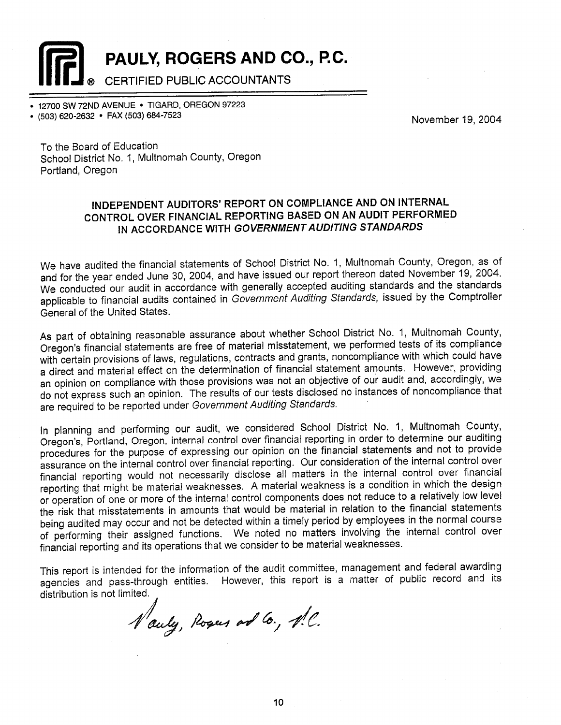PAULY, ROGERS AND CO., P.C.

**CERTIFIED PUBLIC ACCOUNTANTS** 

12700 SW 72ND AVENUE . TIGARD, OREGON 97223

(503) 620-2632 · FAX (503) 684-7523

November 19, 2004

To the Board of Education School District No. 1, Multnomah County, Oregon Portland, Oregon

## INDEPENDENT AUDITORS' REPORT ON COMPLIANCE AND ON INTERNAL CONTROL OVER FINANCIAL REPORTING BASED ON AN AUDIT PERFORMED IN ACCORDANCE WITH GOVERNMENT AUDITING STANDARDS

We have audited the financial statements of School District No. 1, Multnomah County, Oregon, as of and for the year ended June 30, 2004, and have issued our report thereon dated November 19, 2004. We conducted our audit in accordance with generally accepted auditing standards and the standards applicable to financial audits contained in Government Auditing Standards, issued by the Comptroller General of the United States.

As part of obtaining reasonable assurance about whether School District No. 1, Multnomah County, Oregon's financial statements are free of material misstatement, we performed tests of its compliance with certain provisions of laws, regulations, contracts and grants, noncompliance with which could have a direct and material effect on the determination of financial statement amounts. However, providing an opinion on compliance with those provisions was not an objective of our audit and, accordingly, we do not express such an opinion. The results of our tests disclosed no instances of noncompliance that are required to be reported under Government Auditing Standards.

In planning and performing our audit, we considered School District No. 1, Multnomah County, Oregon's, Portland, Oregon, internal control over financial reporting in order to determine our auditing procedures for the purpose of expressing our opinion on the financial statements and not to provide assurance on the internal control over financial reporting. Our consideration of the internal control over financial reporting would not necessarily disclose all matters in the internal control over financial reporting that might be material weaknesses. A material weakness is a condition in which the design or operation of one or more of the internal control components does not reduce to a relatively low level the risk that misstatements in amounts that would be material in relation to the financial statements being audited may occur and not be detected within a timely period by employees in the normal course of performing their assigned functions. We noted no matters involving the internal control over financial reporting and its operations that we consider to be material weaknesses.

This report is intended for the information of the audit committee, management and federal awarding agencies and pass-through entities. However, this report is a matter of public record and its distribution is not limited.

Nauly, Rogers and Co., N.C.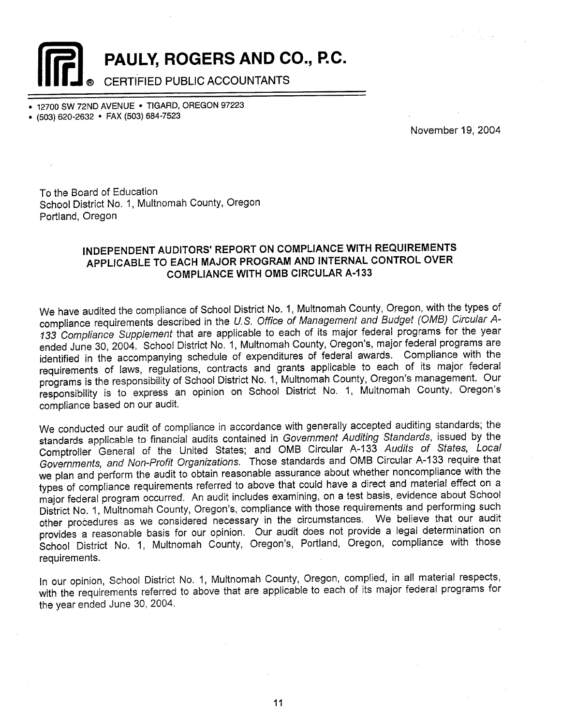PAULY, ROGERS AND CO., P.C.

## CERTIFIED PUBLIC ACCOUNTANTS

12700 SW 72ND AVENUE . TIGARD, OREGON 97223

• (503) 620-2632 • FAX (503) 684-7523

November 19, 2004

To the Board of Education School District No. 1, Multnomah County, Oregon Portland, Oregon

## INDEPENDENT AUDITORS' REPORT ON COMPLIANCE WITH REQUIREMENTS APPLICABLE TO EACH MAJOR PROGRAM AND INTERNAL CONTROL OVER **COMPLIANCE WITH OMB CIRCULAR A-133**

We have audited the compliance of School District No. 1, Multnomah County, Oregon, with the types of compliance requirements described in the U.S. Office of Management and Budget (OMB) Circular A-133 Compliance Supplement that are applicable to each of its major federal programs for the year ended June 30, 2004. School District No. 1, Multnomah County, Oregon's, major federal programs are identified in the accompanying schedule of expenditures of federal awards. Compliance with the requirements of laws, regulations, contracts and grants applicable to each of its major federal programs is the responsibility of School District No. 1, Multnomah County, Oregon's management. Our responsibility is to express an opinion on School District No. 1, Multnomah County, Oregon's compliance based on our audit.

We conducted our audit of compliance in accordance with generally accepted auditing standards; the standards applicable to financial audits contained in Government Auditing Standards, issued by the Comptroller General of the United States; and OMB Circular A-133 Audits of States, Local Governments, and Non-Profit Organizations. Those standards and OMB Circular A-133 require that we plan and perform the audit to obtain reasonable assurance about whether noncompliance with the types of compliance requirements referred to above that could have a direct and material effect on a major federal program occurred. An audit includes examining, on a test basis, evidence about School District No. 1, Multnomah County, Oregon's, compliance with those requirements and performing such other procedures as we considered necessary in the circumstances. We believe that our audit provides a reasonable basis for our opinion. Our audit does not provide a legal determination on School District No. 1, Multnomah County, Oregon's, Portland, Oregon, compliance with those requirements.

In our opinion, School District No. 1, Multnomah County, Oregon, complied, in all material respects, with the requirements referred to above that are applicable to each of its major federal programs for the year ended June 30, 2004.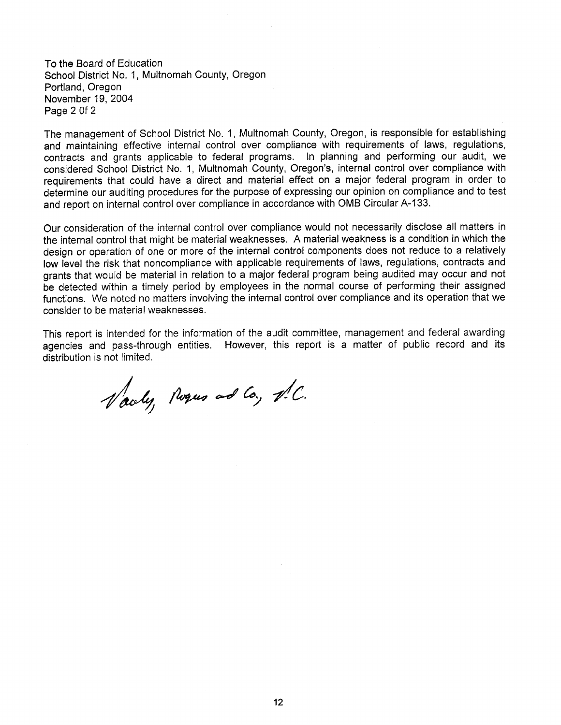To the Board of Education School District No. 1, Multnomah County, Oregon Portland, Oregon November 19, 2004 Page 2 0f 2

The management of School District No. 1, Multnomah County, Oregon, is responsible for establishing and maintaining effective internal control over compliance with requirements of laws, regulations, contracts and grants applicable to federal programs. In planning and performing our audit, we considered School District No. 1, Multnomah County, Oregon's, internal control over compliance with requirements that could have a direct and material effect on a major federal program in order to determine our auditing procedures for the purpose of expressing our opinion on compliance and to test and report on internal control over compliance in accordance with OMB Circular A-133.

Our consideration of the internal control over compliance would not necessarily disclose all matters in the internal control that might be material weaknesses. A material weakness is a condition in which the design or operation of one or more of the internal control components does not reduce to a relatively low level the risk that noncompliance with applicable requirements of laws, regulations, contracts and grants that would be material in relation to a major federal program being audited may occur and not be detected within a timely period by employees in the normal course of performing their assigned functions. We noted no matters involving the internal control over compliance and its operation that we consider to be material weaknesses.

This report is intended for the information of the audit committee, management and federal awarding agencies and pass-through entities. However, this report is a matter of public record and its distribution is not limited.

Varly, Roques and Co., N.C.